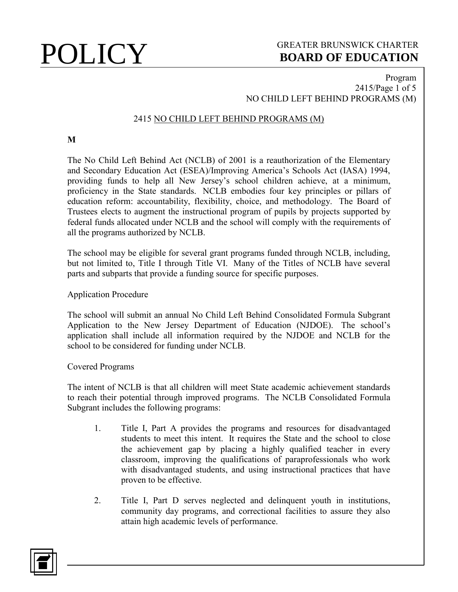### Program 2415/Page 1 of 5 NO CHILD LEFT BEHIND PROGRAMS (M)

## 2415 NO CHILD LEFT BEHIND PROGRAMS (M)

**M**

The No Child Left Behind Act (NCLB) of 2001 is a reauthorization of the Elementary and Secondary Education Act (ESEA)/Improving America's Schools Act (IASA) 1994, providing funds to help all New Jersey's school children achieve, at a minimum, proficiency in the State standards. NCLB embodies four key principles or pillars of education reform: accountability, flexibility, choice, and methodology. The Board of Trustees elects to augment the instructional program of pupils by projects supported by federal funds allocated under NCLB and the school will comply with the requirements of all the programs authorized by NCLB.

The school may be eligible for several grant programs funded through NCLB, including, but not limited to, Title I through Title VI. Many of the Titles of NCLB have several parts and subparts that provide a funding source for specific purposes.

Application Procedure

The school will submit an annual No Child Left Behind Consolidated Formula Subgrant Application to the New Jersey Department of Education (NJDOE). The school's application shall include all information required by the NJDOE and NCLB for the school to be considered for funding under NCLB.

Covered Programs

The intent of NCLB is that all children will meet State academic achievement standards to reach their potential through improved programs. The NCLB Consolidated Formula Subgrant includes the following programs:

- 1. Title I, Part A provides the programs and resources for disadvantaged students to meet this intent. It requires the State and the school to close the achievement gap by placing a highly qualified teacher in every classroom, improving the qualifications of paraprofessionals who work with disadvantaged students, and using instructional practices that have proven to be effective.
- 2. Title I, Part D serves neglected and delinquent youth in institutions, community day programs, and correctional facilities to assure they also attain high academic levels of performance.

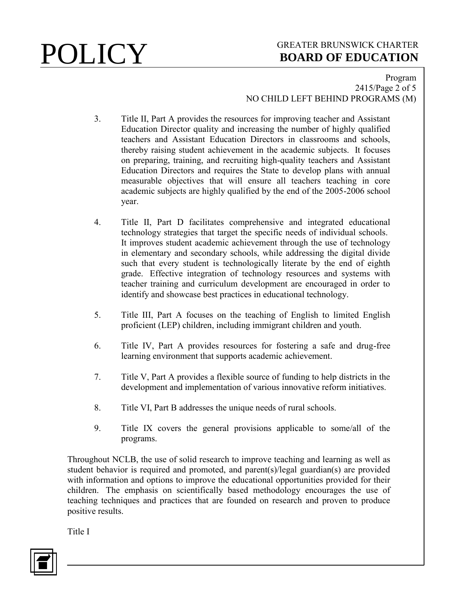### Program 2415/Page 2 of 5 NO CHILD LEFT BEHIND PROGRAMS (M)

- 3. Title II, Part A provides the resources for improving teacher and Assistant Education Director quality and increasing the number of highly qualified teachers and Assistant Education Directors in classrooms and schools, thereby raising student achievement in the academic subjects. It focuses on preparing, training, and recruiting high-quality teachers and Assistant Education Directors and requires the State to develop plans with annual measurable objectives that will ensure all teachers teaching in core academic subjects are highly qualified by the end of the 2005-2006 school year.
- 4. Title II, Part D facilitates comprehensive and integrated educational technology strategies that target the specific needs of individual schools. It improves student academic achievement through the use of technology in elementary and secondary schools, while addressing the digital divide such that every student is technologically literate by the end of eighth grade. Effective integration of technology resources and systems with teacher training and curriculum development are encouraged in order to identify and showcase best practices in educational technology.
- 5. Title III, Part A focuses on the teaching of English to limited English proficient (LEP) children, including immigrant children and youth.
- 6. Title IV, Part A provides resources for fostering a safe and drug-free learning environment that supports academic achievement.
- 7. Title V, Part A provides a flexible source of funding to help districts in the development and implementation of various innovative reform initiatives.
- 8. Title VI, Part B addresses the unique needs of rural schools.
- 9. Title IX covers the general provisions applicable to some/all of the programs.

Throughout NCLB, the use of solid research to improve teaching and learning as well as student behavior is required and promoted, and parent(s)/legal guardian(s) are provided with information and options to improve the educational opportunities provided for their children. The emphasis on scientifically based methodology encourages the use of teaching techniques and practices that are founded on research and proven to produce positive results.

Title I

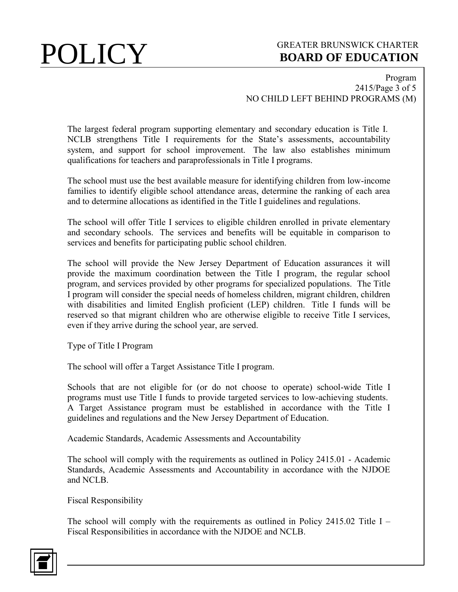Program 2415/Page 3 of 5 NO CHILD LEFT BEHIND PROGRAMS (M)

The largest federal program supporting elementary and secondary education is Title I. NCLB strengthens Title I requirements for the State's assessments, accountability system, and support for school improvement. The law also establishes minimum qualifications for teachers and paraprofessionals in Title I programs.

The school must use the best available measure for identifying children from low-income families to identify eligible school attendance areas, determine the ranking of each area and to determine allocations as identified in the Title I guidelines and regulations.

The school will offer Title I services to eligible children enrolled in private elementary and secondary schools. The services and benefits will be equitable in comparison to services and benefits for participating public school children.

The school will provide the New Jersey Department of Education assurances it will provide the maximum coordination between the Title I program, the regular school program, and services provided by other programs for specialized populations. The Title I program will consider the special needs of homeless children, migrant children, children with disabilities and limited English proficient (LEP) children. Title I funds will be reserved so that migrant children who are otherwise eligible to receive Title I services, even if they arrive during the school year, are served.

Type of Title I Program

The school will offer a Target Assistance Title I program.

Schools that are not eligible for (or do not choose to operate) school-wide Title I programs must use Title I funds to provide targeted services to low-achieving students. A Target Assistance program must be established in accordance with the Title I guidelines and regulations and the New Jersey Department of Education.

Academic Standards, Academic Assessments and Accountability

The school will comply with the requirements as outlined in Policy 2415.01 - Academic Standards, Academic Assessments and Accountability in accordance with the NJDOE and NCLB.

Fiscal Responsibility

The school will comply with the requirements as outlined in Policy 2415.02 Title I – Fiscal Responsibilities in accordance with the NJDOE and NCLB.

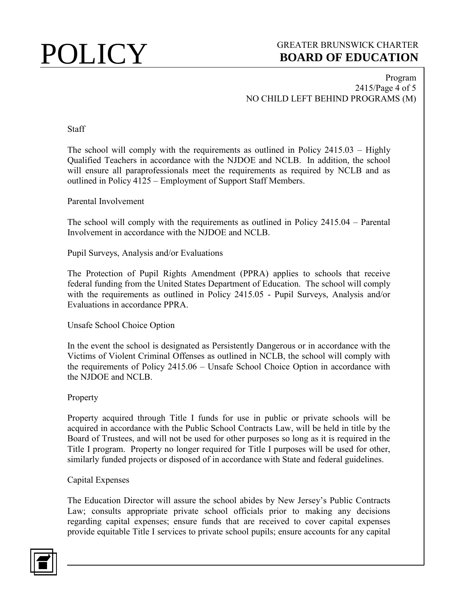### Program 2415/Page 4 of 5 NO CHILD LEFT BEHIND PROGRAMS (M)

### **Staff**

The school will comply with the requirements as outlined in Policy 2415.03 – Highly Qualified Teachers in accordance with the NJDOE and NCLB. In addition, the school will ensure all paraprofessionals meet the requirements as required by NCLB and as outlined in Policy 4125 – Employment of Support Staff Members.

Parental Involvement

The school will comply with the requirements as outlined in Policy 2415.04 – Parental Involvement in accordance with the NJDOE and NCLB.

Pupil Surveys, Analysis and/or Evaluations

The Protection of Pupil Rights Amendment (PPRA) applies to schools that receive federal funding from the United States Department of Education. The school will comply with the requirements as outlined in Policy 2415.05 - Pupil Surveys, Analysis and/or Evaluations in accordance PPRA.

Unsafe School Choice Option

In the event the school is designated as Persistently Dangerous or in accordance with the Victims of Violent Criminal Offenses as outlined in NCLB, the school will comply with the requirements of Policy 2415.06 – Unsafe School Choice Option in accordance with the NJDOE and NCLB.

### Property

Property acquired through Title I funds for use in public or private schools will be acquired in accordance with the Public School Contracts Law, will be held in title by the Board of Trustees, and will not be used for other purposes so long as it is required in the Title I program. Property no longer required for Title I purposes will be used for other, similarly funded projects or disposed of in accordance with State and federal guidelines.

### Capital Expenses

The Education Director will assure the school abides by New Jersey's Public Contracts Law; consults appropriate private school officials prior to making any decisions regarding capital expenses; ensure funds that are received to cover capital expenses provide equitable Title I services to private school pupils; ensure accounts for any capital